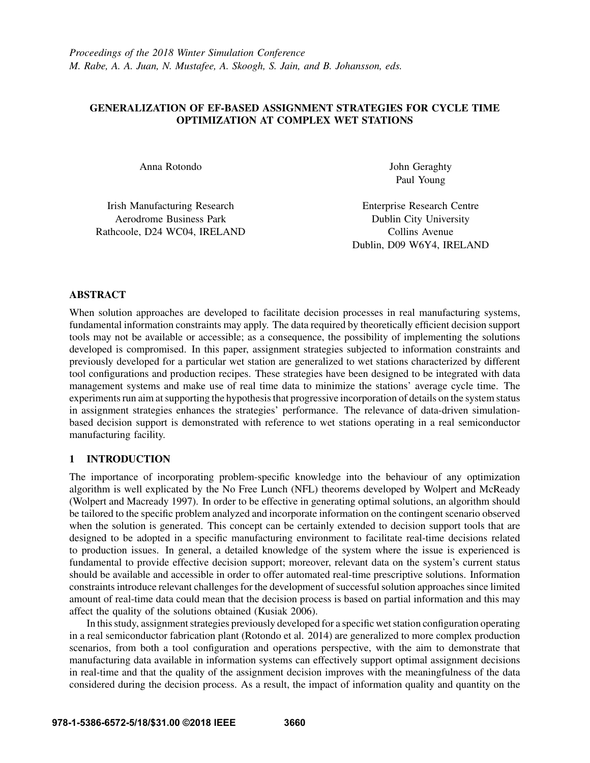# GENERALIZATION OF EF-BASED ASSIGNMENT STRATEGIES FOR CYCLE TIME OPTIMIZATION AT COMPLEX WET STATIONS

Irish Manufacturing Research Enterprise Research Centre Aerodrome Business Park **Dublin City University** Rathcoole, D24 WC04, IRELAND Collins Avenue

Anna Rotondo John Geraghty Paul Young

Dublin, D09 W6Y4, IRELAND

# ABSTRACT

When solution approaches are developed to facilitate decision processes in real manufacturing systems, fundamental information constraints may apply. The data required by theoretically efficient decision support tools may not be available or accessible; as a consequence, the possibility of implementing the solutions developed is compromised. In this paper, assignment strategies subjected to information constraints and previously developed for a particular wet station are generalized to wet stations characterized by different tool configurations and production recipes. These strategies have been designed to be integrated with data management systems and make use of real time data to minimize the stations' average cycle time. The experiments run aim at supporting the hypothesis that progressive incorporation of details on the system status in assignment strategies enhances the strategies' performance. The relevance of data-driven simulationbased decision support is demonstrated with reference to wet stations operating in a real semiconductor manufacturing facility.

# 1 INTRODUCTION

The importance of incorporating problem-specific knowledge into the behaviour of any optimization algorithm is well explicated by the No Free Lunch (NFL) theorems developed by Wolpert and McReady (Wolpert and Macready 1997). In order to be effective in generating optimal solutions, an algorithm should be tailored to the specific problem analyzed and incorporate information on the contingent scenario observed when the solution is generated. This concept can be certainly extended to decision support tools that are designed to be adopted in a specific manufacturing environment to facilitate real-time decisions related to production issues. In general, a detailed knowledge of the system where the issue is experienced is fundamental to provide effective decision support; moreover, relevant data on the system's current status should be available and accessible in order to offer automated real-time prescriptive solutions. Information constraints introduce relevant challenges for the development of successful solution approaches since limited amount of real-time data could mean that the decision process is based on partial information and this may affect the quality of the solutions obtained (Kusiak 2006).

In this study, assignment strategies previously developed for a specific wet station configuration operating in a real semiconductor fabrication plant (Rotondo et al. 2014) are generalized to more complex production scenarios, from both a tool configuration and operations perspective, with the aim to demonstrate that manufacturing data available in information systems can effectively support optimal assignment decisions in real-time and that the quality of the assignment decision improves with the meaningfulness of the data considered during the decision process. As a result, the impact of information quality and quantity on the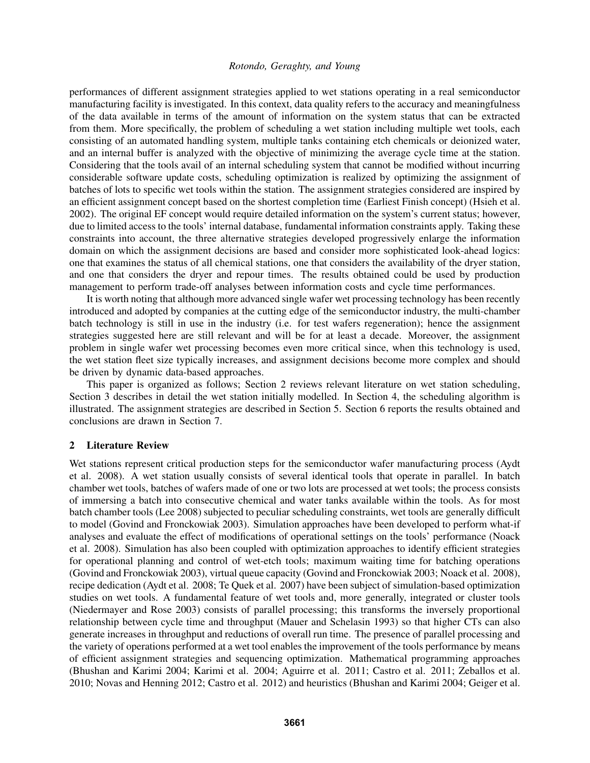performances of different assignment strategies applied to wet stations operating in a real semiconductor manufacturing facility is investigated. In this context, data quality refers to the accuracy and meaningfulness of the data available in terms of the amount of information on the system status that can be extracted from them. More specifically, the problem of scheduling a wet station including multiple wet tools, each consisting of an automated handling system, multiple tanks containing etch chemicals or deionized water, and an internal buffer is analyzed with the objective of minimizing the average cycle time at the station. Considering that the tools avail of an internal scheduling system that cannot be modified without incurring considerable software update costs, scheduling optimization is realized by optimizing the assignment of batches of lots to specific wet tools within the station. The assignment strategies considered are inspired by an efficient assignment concept based on the shortest completion time (Earliest Finish concept) (Hsieh et al. 2002). The original EF concept would require detailed information on the system's current status; however, due to limited access to the tools' internal database, fundamental information constraints apply. Taking these constraints into account, the three alternative strategies developed progressively enlarge the information domain on which the assignment decisions are based and consider more sophisticated look-ahead logics: one that examines the status of all chemical stations, one that considers the availability of the dryer station, and one that considers the dryer and repour times. The results obtained could be used by production management to perform trade-off analyses between information costs and cycle time performances.

It is worth noting that although more advanced single wafer wet processing technology has been recently introduced and adopted by companies at the cutting edge of the semiconductor industry, the multi-chamber batch technology is still in use in the industry (i.e. for test wafers regeneration); hence the assignment strategies suggested here are still relevant and will be for at least a decade. Moreover, the assignment problem in single wafer wet processing becomes even more critical since, when this technology is used, the wet station fleet size typically increases, and assignment decisions become more complex and should be driven by dynamic data-based approaches.

This paper is organized as follows; Section 2 reviews relevant literature on wet station scheduling, Section 3 describes in detail the wet station initially modelled. In Section 4, the scheduling algorithm is illustrated. The assignment strategies are described in Section 5. Section 6 reports the results obtained and conclusions are drawn in Section 7.

#### 2 Literature Review

Wet stations represent critical production steps for the semiconductor wafer manufacturing process (Aydt et al. 2008). A wet station usually consists of several identical tools that operate in parallel. In batch chamber wet tools, batches of wafers made of one or two lots are processed at wet tools; the process consists of immersing a batch into consecutive chemical and water tanks available within the tools. As for most batch chamber tools (Lee 2008) subjected to peculiar scheduling constraints, wet tools are generally difficult to model (Govind and Fronckowiak 2003). Simulation approaches have been developed to perform what-if analyses and evaluate the effect of modifications of operational settings on the tools' performance (Noack et al. 2008). Simulation has also been coupled with optimization approaches to identify efficient strategies for operational planning and control of wet-etch tools; maximum waiting time for batching operations (Govind and Fronckowiak 2003), virtual queue capacity (Govind and Fronckowiak 2003; Noack et al. 2008), recipe dedication (Aydt et al. 2008; Te Quek et al. 2007) have been subject of simulation-based optimization studies on wet tools. A fundamental feature of wet tools and, more generally, integrated or cluster tools (Niedermayer and Rose 2003) consists of parallel processing; this transforms the inversely proportional relationship between cycle time and throughput (Mauer and Schelasin 1993) so that higher CTs can also generate increases in throughput and reductions of overall run time. The presence of parallel processing and the variety of operations performed at a wet tool enables the improvement of the tools performance by means of efficient assignment strategies and sequencing optimization. Mathematical programming approaches (Bhushan and Karimi 2004; Karimi et al. 2004; Aguirre et al. 2011; Castro et al. 2011; Zeballos et al. 2010; Novas and Henning 2012; Castro et al. 2012) and heuristics (Bhushan and Karimi 2004; Geiger et al.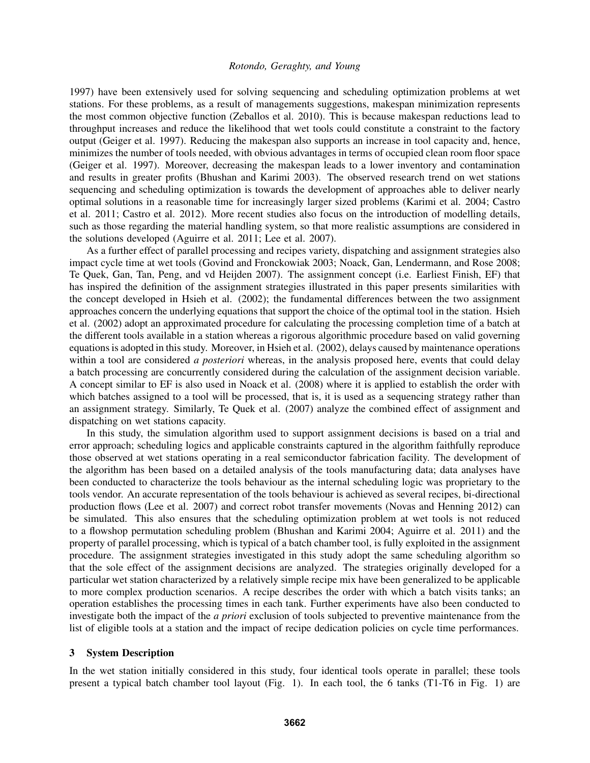1997) have been extensively used for solving sequencing and scheduling optimization problems at wet stations. For these problems, as a result of managements suggestions, makespan minimization represents the most common objective function (Zeballos et al. 2010). This is because makespan reductions lead to throughput increases and reduce the likelihood that wet tools could constitute a constraint to the factory output (Geiger et al. 1997). Reducing the makespan also supports an increase in tool capacity and, hence, minimizes the number of tools needed, with obvious advantages in terms of occupied clean room floor space (Geiger et al. 1997). Moreover, decreasing the makespan leads to a lower inventory and contamination and results in greater profits (Bhushan and Karimi 2003). The observed research trend on wet stations sequencing and scheduling optimization is towards the development of approaches able to deliver nearly optimal solutions in a reasonable time for increasingly larger sized problems (Karimi et al. 2004; Castro et al. 2011; Castro et al. 2012). More recent studies also focus on the introduction of modelling details, such as those regarding the material handling system, so that more realistic assumptions are considered in the solutions developed (Aguirre et al. 2011; Lee et al. 2007).

As a further effect of parallel processing and recipes variety, dispatching and assignment strategies also impact cycle time at wet tools (Govind and Fronckowiak 2003; Noack, Gan, Lendermann, and Rose 2008; Te Quek, Gan, Tan, Peng, and vd Heijden 2007). The assignment concept (i.e. Earliest Finish, EF) that has inspired the definition of the assignment strategies illustrated in this paper presents similarities with the concept developed in Hsieh et al. (2002); the fundamental differences between the two assignment approaches concern the underlying equations that support the choice of the optimal tool in the station. Hsieh et al. (2002) adopt an approximated procedure for calculating the processing completion time of a batch at the different tools available in a station whereas a rigorous algorithmic procedure based on valid governing equations is adopted in this study. Moreover, in Hsieh et al. (2002), delays caused by maintenance operations within a tool are considered *a posteriori* whereas, in the analysis proposed here, events that could delay a batch processing are concurrently considered during the calculation of the assignment decision variable. A concept similar to EF is also used in Noack et al. (2008) where it is applied to establish the order with which batches assigned to a tool will be processed, that is, it is used as a sequencing strategy rather than an assignment strategy. Similarly, Te Quek et al. (2007) analyze the combined effect of assignment and dispatching on wet stations capacity.

In this study, the simulation algorithm used to support assignment decisions is based on a trial and error approach; scheduling logics and applicable constraints captured in the algorithm faithfully reproduce those observed at wet stations operating in a real semiconductor fabrication facility. The development of the algorithm has been based on a detailed analysis of the tools manufacturing data; data analyses have been conducted to characterize the tools behaviour as the internal scheduling logic was proprietary to the tools vendor. An accurate representation of the tools behaviour is achieved as several recipes, bi-directional production flows (Lee et al. 2007) and correct robot transfer movements (Novas and Henning 2012) can be simulated. This also ensures that the scheduling optimization problem at wet tools is not reduced to a flowshop permutation scheduling problem (Bhushan and Karimi 2004; Aguirre et al. 2011) and the property of parallel processing, which is typical of a batch chamber tool, is fully exploited in the assignment procedure. The assignment strategies investigated in this study adopt the same scheduling algorithm so that the sole effect of the assignment decisions are analyzed. The strategies originally developed for a particular wet station characterized by a relatively simple recipe mix have been generalized to be applicable to more complex production scenarios. A recipe describes the order with which a batch visits tanks; an operation establishes the processing times in each tank. Further experiments have also been conducted to investigate both the impact of the *a priori* exclusion of tools subjected to preventive maintenance from the list of eligible tools at a station and the impact of recipe dedication policies on cycle time performances.

## 3 System Description

In the wet station initially considered in this study, four identical tools operate in parallel; these tools present a typical batch chamber tool layout (Fig. 1). In each tool, the 6 tanks (T1-T6 in Fig. 1) are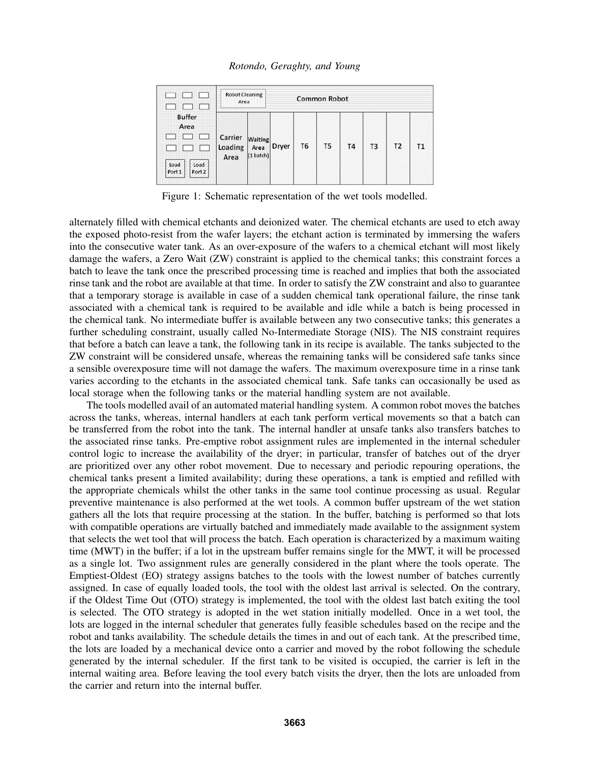*Rotondo, Geraghty, and Young*

| <b>Buffer</b><br>Area<br>Load<br>Load<br>Port 1<br>Port 2 | <b>Robot Cleaning</b><br><b>Common Robot</b><br>Area |                              |       |                |                |                |                |                |
|-----------------------------------------------------------|------------------------------------------------------|------------------------------|-------|----------------|----------------|----------------|----------------|----------------|
|                                                           | Carrier<br>Loading<br>Area                           | Waiting<br>Area<br>(1 batch) | Dryer | T <sub>6</sub> | T <sub>5</sub> | T <sub>4</sub> | T <sub>3</sub> | T <sub>2</sub> |

Figure 1: Schematic representation of the wet tools modelled.

alternately filled with chemical etchants and deionized water. The chemical etchants are used to etch away the exposed photo-resist from the wafer layers; the etchant action is terminated by immersing the wafers into the consecutive water tank. As an over-exposure of the wafers to a chemical etchant will most likely damage the wafers, a Zero Wait (ZW) constraint is applied to the chemical tanks; this constraint forces a batch to leave the tank once the prescribed processing time is reached and implies that both the associated rinse tank and the robot are available at that time. In order to satisfy the ZW constraint and also to guarantee that a temporary storage is available in case of a sudden chemical tank operational failure, the rinse tank associated with a chemical tank is required to be available and idle while a batch is being processed in the chemical tank. No intermediate buffer is available between any two consecutive tanks; this generates a further scheduling constraint, usually called No-Intermediate Storage (NIS). The NIS constraint requires that before a batch can leave a tank, the following tank in its recipe is available. The tanks subjected to the ZW constraint will be considered unsafe, whereas the remaining tanks will be considered safe tanks since a sensible overexposure time will not damage the wafers. The maximum overexposure time in a rinse tank varies according to the etchants in the associated chemical tank. Safe tanks can occasionally be used as local storage when the following tanks or the material handling system are not available.

The tools modelled avail of an automated material handling system. A common robot moves the batches across the tanks, whereas, internal handlers at each tank perform vertical movements so that a batch can be transferred from the robot into the tank. The internal handler at unsafe tanks also transfers batches to the associated rinse tanks. Pre-emptive robot assignment rules are implemented in the internal scheduler control logic to increase the availability of the dryer; in particular, transfer of batches out of the dryer are prioritized over any other robot movement. Due to necessary and periodic repouring operations, the chemical tanks present a limited availability; during these operations, a tank is emptied and refilled with the appropriate chemicals whilst the other tanks in the same tool continue processing as usual. Regular preventive maintenance is also performed at the wet tools. A common buffer upstream of the wet station gathers all the lots that require processing at the station. In the buffer, batching is performed so that lots with compatible operations are virtually batched and immediately made available to the assignment system that selects the wet tool that will process the batch. Each operation is characterized by a maximum waiting time (MWT) in the buffer; if a lot in the upstream buffer remains single for the MWT, it will be processed as a single lot. Two assignment rules are generally considered in the plant where the tools operate. The Emptiest-Oldest (EO) strategy assigns batches to the tools with the lowest number of batches currently assigned. In case of equally loaded tools, the tool with the oldest last arrival is selected. On the contrary, if the Oldest Time Out (OTO) strategy is implemented, the tool with the oldest last batch exiting the tool is selected. The OTO strategy is adopted in the wet station initially modelled. Once in a wet tool, the lots are logged in the internal scheduler that generates fully feasible schedules based on the recipe and the robot and tanks availability. The schedule details the times in and out of each tank. At the prescribed time, the lots are loaded by a mechanical device onto a carrier and moved by the robot following the schedule generated by the internal scheduler. If the first tank to be visited is occupied, the carrier is left in the internal waiting area. Before leaving the tool every batch visits the dryer, then the lots are unloaded from the carrier and return into the internal buffer.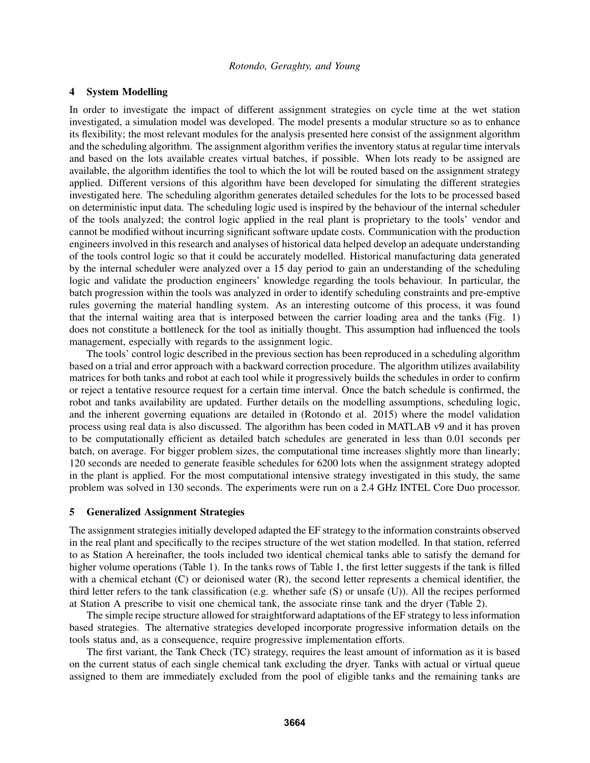## 4 System Modelling

In order to investigate the impact of different assignment strategies on cycle time at the wet station investigated, a simulation model was developed. The model presents a modular structure so as to enhance its flexibility; the most relevant modules for the analysis presented here consist of the assignment algorithm and the scheduling algorithm. The assignment algorithm verifies the inventory status at regular time intervals and based on the lots available creates virtual batches, if possible. When lots ready to be assigned are available, the algorithm identifies the tool to which the lot will be routed based on the assignment strategy applied. Different versions of this algorithm have been developed for simulating the different strategies investigated here. The scheduling algorithm generates detailed schedules for the lots to be processed based on deterministic input data. The scheduling logic used is inspired by the behaviour of the internal scheduler of the tools analyzed; the control logic applied in the real plant is proprietary to the tools' vendor and cannot be modified without incurring significant software update costs. Communication with the production engineers involved in this research and analyses of historical data helped develop an adequate understanding of the tools control logic so that it could be accurately modelled. Historical manufacturing data generated by the internal scheduler were analyzed over a 15 day period to gain an understanding of the scheduling logic and validate the production engineers' knowledge regarding the tools behaviour. In particular, the batch progression within the tools was analyzed in order to identify scheduling constraints and pre-emptive rules governing the material handling system. As an interesting outcome of this process, it was found that the internal waiting area that is interposed between the carrier loading area and the tanks (Fig. 1) does not constitute a bottleneck for the tool as initially thought. This assumption had influenced the tools management, especially with regards to the assignment logic.

The tools' control logic described in the previous section has been reproduced in a scheduling algorithm based on a trial and error approach with a backward correction procedure. The algorithm utilizes availability matrices for both tanks and robot at each tool while it progressively builds the schedules in order to confirm or reject a tentative resource request for a certain time interval. Once the batch schedule is confirmed, the robot and tanks availability are updated. Further details on the modelling assumptions, scheduling logic, and the inherent governing equations are detailed in (Rotondo et al. 2015) where the model validation process using real data is also discussed. The algorithm has been coded in MATLAB v9 and it has proven to be computationally efficient as detailed batch schedules are generated in less than 0.01 seconds per batch, on average. For bigger problem sizes, the computational time increases slightly more than linearly; 120 seconds are needed to generate feasible schedules for 6200 lots when the assignment strategy adopted in the plant is applied. For the most computational intensive strategy investigated in this study, the same problem was solved in 130 seconds. The experiments were run on a 2.4 GHz INTEL Core Duo processor.

#### 5 Generalized Assignment Strategies

The assignment strategies initially developed adapted the EF strategy to the information constraints observed in the real plant and specifically to the recipes structure of the wet station modelled. In that station, referred to as Station A hereinafter, the tools included two identical chemical tanks able to satisfy the demand for higher volume operations (Table 1). In the tanks rows of Table 1, the first letter suggests if the tank is filled with a chemical etchant (C) or deionised water (R), the second letter represents a chemical identifier, the third letter refers to the tank classification (e.g. whether safe (S) or unsafe (U)). All the recipes performed at Station A prescribe to visit one chemical tank, the associate rinse tank and the dryer (Table 2).

The simple recipe structure allowed for straightforward adaptations of the EF strategy to less information based strategies. The alternative strategies developed incorporate progressive information details on the tools status and, as a consequence, require progressive implementation efforts.

The first variant, the Tank Check (TC) strategy, requires the least amount of information as it is based on the current status of each single chemical tank excluding the dryer. Tanks with actual or virtual queue assigned to them are immediately excluded from the pool of eligible tanks and the remaining tanks are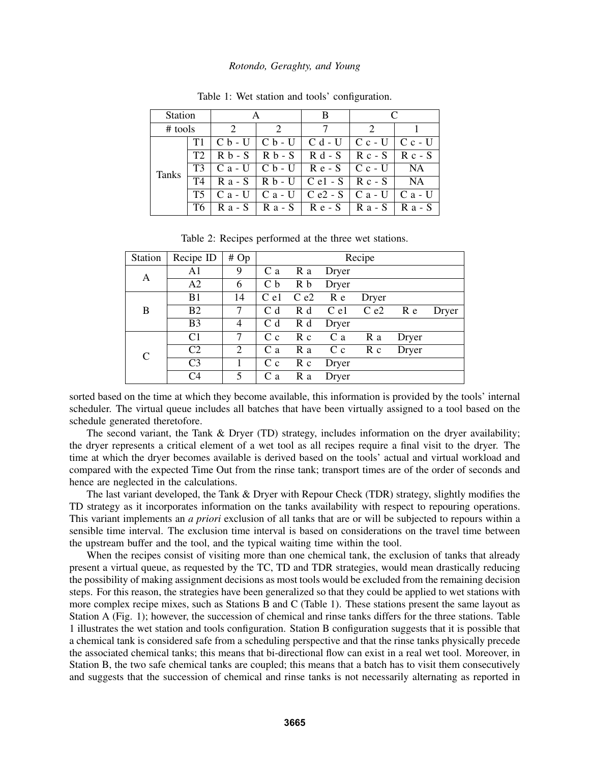| <b>Station</b> |    |                   | В                                                                    |           |           |
|----------------|----|-------------------|----------------------------------------------------------------------|-----------|-----------|
| $#$ tools      |    |                   |                                                                      |           |           |
| <b>Tanks</b>   |    |                   | $C b - U C b - U C d - U C c - U C c - U$                            |           |           |
|                |    | $R b - S$         | $R b - S$ $R d - S$                                                  | $R_{c-S}$ | $R_{c-S}$ |
|                | T3 | $C$ a - U $\perp$ | $C b - U$ Re-S Cc-U                                                  |           | NA        |
|                | T4 |                   | $R$ a - S   R b - U   C e1 - S   R c - S                             |           | <b>NA</b> |
|                |    |                   | C a - U $\mid$ C a - U $\mid$ C e2 - S $\mid$ C a - U $\mid$ C a - U |           |           |
|                |    | $R$ a - S $\perp$ | $Ra-S$ $Re-S$                                                        | R a - S   | $R$ a - S |

Table 1: Wet station and tools' configuration.

| Table 2: Recipes performed at the three wet stations. |  |  |  |  |  |
|-------------------------------------------------------|--|--|--|--|--|
|-------------------------------------------------------|--|--|--|--|--|

| Station | Recipe ID      | #Op | Recipe         |          |         |               |       |       |  |
|---------|----------------|-----|----------------|----------|---------|---------------|-------|-------|--|
| A       | A <sub>1</sub> | 9   | C <sub>a</sub> | R a      | Dryer   |               |       |       |  |
|         | A <sub>2</sub> | 6   | C <sub>b</sub> | R b      | Dryer   |               |       |       |  |
| B       | B <sub>1</sub> | 14  | $C_{el}$       | $C_{e2}$ | R e     | Dryer         |       |       |  |
|         | B <sub>2</sub> | 7   | C <sub>d</sub> | R d      |         | C e1 C e2 R e |       | Dryer |  |
|         | B <sub>3</sub> | 4   | $C_d$          | R d      | Dryer   |               |       |       |  |
| C       | C <sub>1</sub> | 7   | C <sub>c</sub> | R c      | C a     | R a           | Dryer |       |  |
|         | C <sub>2</sub> | 2   | C a            | R a      | $C_{c}$ | $R_{c}$       | Dryer |       |  |
|         | C <sub>3</sub> |     | C <sub>c</sub> | $R_{c}$  | Dryer   |               |       |       |  |
|         | C4             | 5   | C <sub>a</sub> | R a      | Dryer   |               |       |       |  |

sorted based on the time at which they become available, this information is provided by the tools' internal scheduler. The virtual queue includes all batches that have been virtually assigned to a tool based on the schedule generated theretofore.

The second variant, the Tank & Dryer (TD) strategy, includes information on the dryer availability; the dryer represents a critical element of a wet tool as all recipes require a final visit to the dryer. The time at which the dryer becomes available is derived based on the tools' actual and virtual workload and compared with the expected Time Out from the rinse tank; transport times are of the order of seconds and hence are neglected in the calculations.

The last variant developed, the Tank & Dryer with Repour Check (TDR) strategy, slightly modifies the TD strategy as it incorporates information on the tanks availability with respect to repouring operations. This variant implements an *a priori* exclusion of all tanks that are or will be subjected to repours within a sensible time interval. The exclusion time interval is based on considerations on the travel time between the upstream buffer and the tool, and the typical waiting time within the tool.

When the recipes consist of visiting more than one chemical tank, the exclusion of tanks that already present a virtual queue, as requested by the TC, TD and TDR strategies, would mean drastically reducing the possibility of making assignment decisions as most tools would be excluded from the remaining decision steps. For this reason, the strategies have been generalized so that they could be applied to wet stations with more complex recipe mixes, such as Stations B and C (Table 1). These stations present the same layout as Station A (Fig. 1); however, the succession of chemical and rinse tanks differs for the three stations. Table 1 illustrates the wet station and tools configuration. Station B configuration suggests that it is possible that a chemical tank is considered safe from a scheduling perspective and that the rinse tanks physically precede the associated chemical tanks; this means that bi-directional flow can exist in a real wet tool. Moreover, in Station B, the two safe chemical tanks are coupled; this means that a batch has to visit them consecutively and suggests that the succession of chemical and rinse tanks is not necessarily alternating as reported in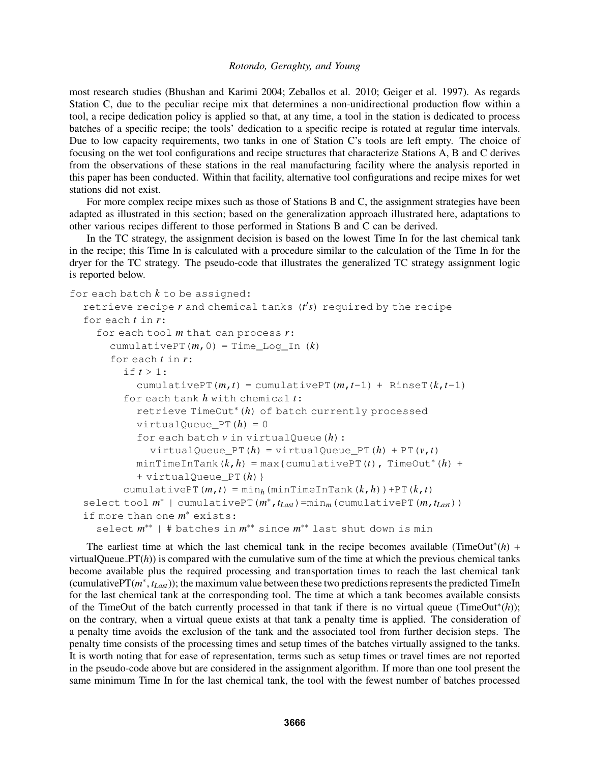most research studies (Bhushan and Karimi 2004; Zeballos et al. 2010; Geiger et al. 1997). As regards Station C, due to the peculiar recipe mix that determines a non-unidirectional production flow within a tool, a recipe dedication policy is applied so that, at any time, a tool in the station is dedicated to process batches of a specific recipe; the tools' dedication to a specific recipe is rotated at regular time intervals. Due to low capacity requirements, two tanks in one of Station C's tools are left empty. The choice of focusing on the wet tool configurations and recipe structures that characterize Stations A, B and C derives from the observations of these stations in the real manufacturing facility where the analysis reported in this paper has been conducted. Within that facility, alternative tool configurations and recipe mixes for wet stations did not exist.

For more complex recipe mixes such as those of Stations B and C, the assignment strategies have been adapted as illustrated in this section; based on the generalization approach illustrated here, adaptations to other various recipes different to those performed in Stations B and C can be derived.

In the TC strategy, the assignment decision is based on the lowest Time In for the last chemical tank in the recipe; this Time In is calculated with a procedure similar to the calculation of the Time In for the dryer for the TC strategy. The pseudo-code that illustrates the generalized TC strategy assignment logic is reported below.

```
for each batch k to be assigned:
  retrieve recipe r and chemical tanks (t's) required by the recipe
  for each t in r:
    for each tool m that can process r:
       cumulativePT(m, 0) = Time Log In (k)for each t in r:
         if t > 1:
            cumulativePT(m, t) = cumulativePT(m, t-1) + RinseT(k, t-1)
         for each tank h with chemical t:
            retrieve TimeOut∗(h) of batch currently processed
            virtualQueue_PT(h) = 0
            for each batch v in virtualQueue(h):
              virtualQueue_PT(h) = vitrta1Queue_PT(h) + PT(v, t)minTimeInTank(k, h) = max{cumulativePT(t), TimeOut*(h) +}+ virtualQueue_PT(h)}
         cumulativePT(m,t) = min<sub>h</sub>(minTimeInTank(k,h))+PT(k,t)
  select tool m
∗ | cumulativePT(m
∗,tLast)=minm(cumulativePT(m,tLast))
  if more than one m
∗ exists:
     select m^{**} | # batches in m^{**} since m^{**} last shut down is min
```
The earliest time at which the last chemical tank in the recipe becomes available (TimeOut<sup>\*</sup> $(h)$  + virtualQueue  $PT(h)$ ) is compared with the cumulative sum of the time at which the previous chemical tanks become available plus the required processing and transportation times to reach the last chemical tank (cumulativePT(*m* ∗ , *tLast*)); the maximum value between these two predictions represents the predicted TimeIn for the last chemical tank at the corresponding tool. The time at which a tank becomes available consists of the TimeOut of the batch currently processed in that tank if there is no virtual queue (TimeOut<sup>\*</sup>(h)); on the contrary, when a virtual queue exists at that tank a penalty time is applied. The consideration of a penalty time avoids the exclusion of the tank and the associated tool from further decision steps. The penalty time consists of the processing times and setup times of the batches virtually assigned to the tanks. It is worth noting that for ease of representation, terms such as setup times or travel times are not reported in the pseudo-code above but are considered in the assignment algorithm. If more than one tool present the same minimum Time In for the last chemical tank, the tool with the fewest number of batches processed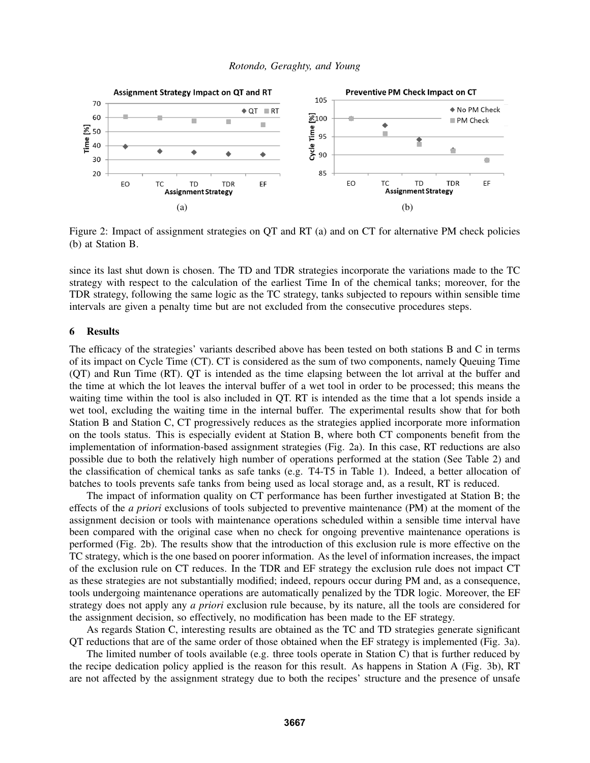

Figure 2: Impact of assignment strategies on QT and RT (a) and on CT for alternative PM check policies (b) at Station B.

since its last shut down is chosen. The TD and TDR strategies incorporate the variations made to the TC strategy with respect to the calculation of the earliest Time In of the chemical tanks; moreover, for the TDR strategy, following the same logic as the TC strategy, tanks subjected to repours within sensible time intervals are given a penalty time but are not excluded from the consecutive procedures steps.

### 6 Results

The efficacy of the strategies' variants described above has been tested on both stations B and C in terms of its impact on Cycle Time (CT). CT is considered as the sum of two components, namely Queuing Time (QT) and Run Time (RT). QT is intended as the time elapsing between the lot arrival at the buffer and the time at which the lot leaves the interval buffer of a wet tool in order to be processed; this means the waiting time within the tool is also included in QT. RT is intended as the time that a lot spends inside a wet tool, excluding the waiting time in the internal buffer. The experimental results show that for both Station B and Station C, CT progressively reduces as the strategies applied incorporate more information on the tools status. This is especially evident at Station B, where both CT components benefit from the implementation of information-based assignment strategies (Fig. 2a). In this case, RT reductions are also possible due to both the relatively high number of operations performed at the station (See Table 2) and the classification of chemical tanks as safe tanks (e.g. T4-T5 in Table 1). Indeed, a better allocation of batches to tools prevents safe tanks from being used as local storage and, as a result, RT is reduced.

The impact of information quality on CT performance has been further investigated at Station B; the effects of the *a priori* exclusions of tools subjected to preventive maintenance (PM) at the moment of the assignment decision or tools with maintenance operations scheduled within a sensible time interval have been compared with the original case when no check for ongoing preventive maintenance operations is performed (Fig. 2b). The results show that the introduction of this exclusion rule is more effective on the TC strategy, which is the one based on poorer information. As the level of information increases, the impact of the exclusion rule on CT reduces. In the TDR and EF strategy the exclusion rule does not impact CT as these strategies are not substantially modified; indeed, repours occur during PM and, as a consequence, tools undergoing maintenance operations are automatically penalized by the TDR logic. Moreover, the EF strategy does not apply any *a priori* exclusion rule because, by its nature, all the tools are considered for the assignment decision, so effectively, no modification has been made to the EF strategy.

As regards Station C, interesting results are obtained as the TC and TD strategies generate significant QT reductions that are of the same order of those obtained when the EF strategy is implemented (Fig. 3a).

The limited number of tools available (e.g. three tools operate in Station C) that is further reduced by the recipe dedication policy applied is the reason for this result. As happens in Station A (Fig. 3b), RT are not affected by the assignment strategy due to both the recipes' structure and the presence of unsafe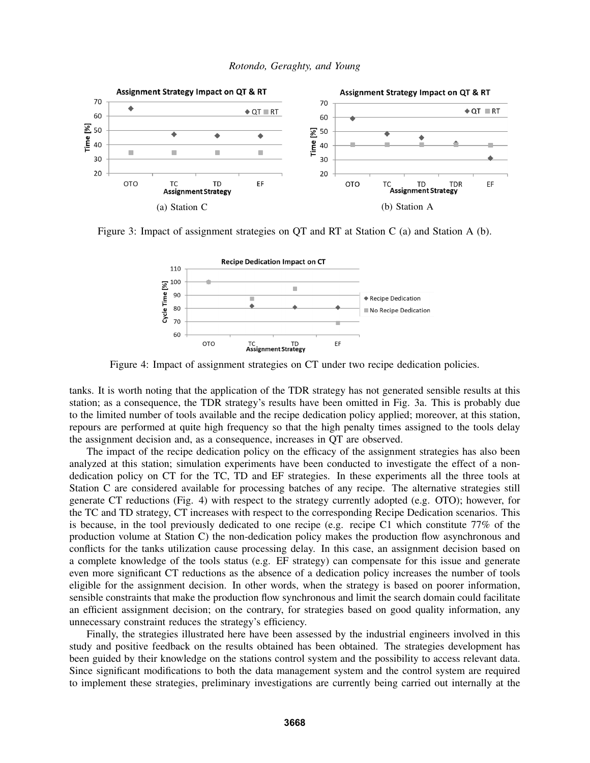



Figure 3: Impact of assignment strategies on QT and RT at Station C (a) and Station A (b).



Figure 4: Impact of assignment strategies on CT under two recipe dedication policies.

tanks. It is worth noting that the application of the TDR strategy has not generated sensible results at this station; as a consequence, the TDR strategy's results have been omitted in Fig. 3a. This is probably due to the limited number of tools available and the recipe dedication policy applied; moreover, at this station, repours are performed at quite high frequency so that the high penalty times assigned to the tools delay the assignment decision and, as a consequence, increases in QT are observed.

The impact of the recipe dedication policy on the efficacy of the assignment strategies has also been analyzed at this station; simulation experiments have been conducted to investigate the effect of a nondedication policy on CT for the TC, TD and EF strategies. In these experiments all the three tools at Station C are considered available for processing batches of any recipe. The alternative strategies still generate CT reductions (Fig. 4) with respect to the strategy currently adopted (e.g. OTO); however, for the TC and TD strategy, CT increases with respect to the corresponding Recipe Dedication scenarios. This is because, in the tool previously dedicated to one recipe (e.g. recipe C1 which constitute 77% of the production volume at Station C) the non-dedication policy makes the production flow asynchronous and conflicts for the tanks utilization cause processing delay. In this case, an assignment decision based on a complete knowledge of the tools status (e.g. EF strategy) can compensate for this issue and generate even more significant CT reductions as the absence of a dedication policy increases the number of tools eligible for the assignment decision. In other words, when the strategy is based on poorer information, sensible constraints that make the production flow synchronous and limit the search domain could facilitate an efficient assignment decision; on the contrary, for strategies based on good quality information, any unnecessary constraint reduces the strategy's efficiency.

Finally, the strategies illustrated here have been assessed by the industrial engineers involved in this study and positive feedback on the results obtained has been obtained. The strategies development has been guided by their knowledge on the stations control system and the possibility to access relevant data. Since significant modifications to both the data management system and the control system are required to implement these strategies, preliminary investigations are currently being carried out internally at the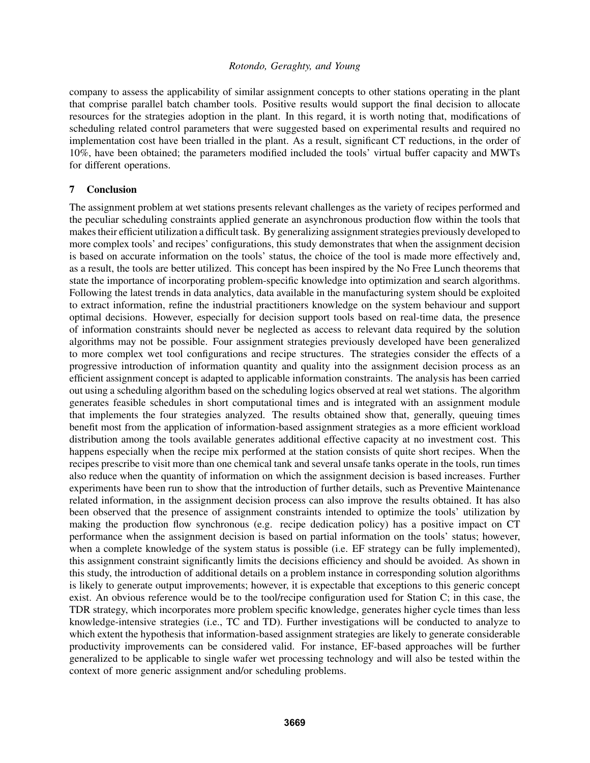company to assess the applicability of similar assignment concepts to other stations operating in the plant that comprise parallel batch chamber tools. Positive results would support the final decision to allocate resources for the strategies adoption in the plant. In this regard, it is worth noting that, modifications of scheduling related control parameters that were suggested based on experimental results and required no implementation cost have been trialled in the plant. As a result, significant CT reductions, in the order of 10%, have been obtained; the parameters modified included the tools' virtual buffer capacity and MWTs for different operations.

## 7 Conclusion

The assignment problem at wet stations presents relevant challenges as the variety of recipes performed and the peculiar scheduling constraints applied generate an asynchronous production flow within the tools that makes their efficient utilization a difficult task. By generalizing assignment strategies previously developed to more complex tools' and recipes' configurations, this study demonstrates that when the assignment decision is based on accurate information on the tools' status, the choice of the tool is made more effectively and, as a result, the tools are better utilized. This concept has been inspired by the No Free Lunch theorems that state the importance of incorporating problem-specific knowledge into optimization and search algorithms. Following the latest trends in data analytics, data available in the manufacturing system should be exploited to extract information, refine the industrial practitioners knowledge on the system behaviour and support optimal decisions. However, especially for decision support tools based on real-time data, the presence of information constraints should never be neglected as access to relevant data required by the solution algorithms may not be possible. Four assignment strategies previously developed have been generalized to more complex wet tool configurations and recipe structures. The strategies consider the effects of a progressive introduction of information quantity and quality into the assignment decision process as an efficient assignment concept is adapted to applicable information constraints. The analysis has been carried out using a scheduling algorithm based on the scheduling logics observed at real wet stations. The algorithm generates feasible schedules in short computational times and is integrated with an assignment module that implements the four strategies analyzed. The results obtained show that, generally, queuing times benefit most from the application of information-based assignment strategies as a more efficient workload distribution among the tools available generates additional effective capacity at no investment cost. This happens especially when the recipe mix performed at the station consists of quite short recipes. When the recipes prescribe to visit more than one chemical tank and several unsafe tanks operate in the tools, run times also reduce when the quantity of information on which the assignment decision is based increases. Further experiments have been run to show that the introduction of further details, such as Preventive Maintenance related information, in the assignment decision process can also improve the results obtained. It has also been observed that the presence of assignment constraints intended to optimize the tools' utilization by making the production flow synchronous (e.g. recipe dedication policy) has a positive impact on CT performance when the assignment decision is based on partial information on the tools' status; however, when a complete knowledge of the system status is possible (i.e. EF strategy can be fully implemented), this assignment constraint significantly limits the decisions efficiency and should be avoided. As shown in this study, the introduction of additional details on a problem instance in corresponding solution algorithms is likely to generate output improvements; however, it is expectable that exceptions to this generic concept exist. An obvious reference would be to the tool/recipe configuration used for Station C; in this case, the TDR strategy, which incorporates more problem specific knowledge, generates higher cycle times than less knowledge-intensive strategies (i.e., TC and TD). Further investigations will be conducted to analyze to which extent the hypothesis that information-based assignment strategies are likely to generate considerable productivity improvements can be considered valid. For instance, EF-based approaches will be further generalized to be applicable to single wafer wet processing technology and will also be tested within the context of more generic assignment and/or scheduling problems.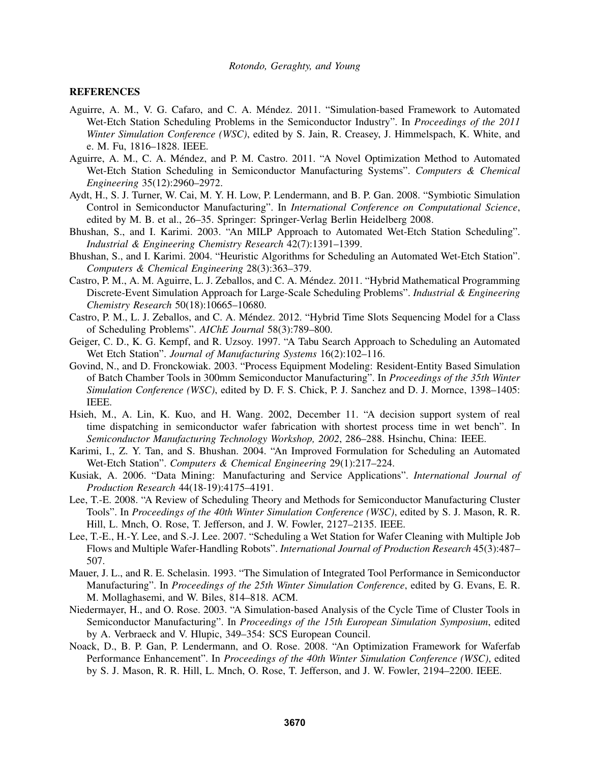### **REFERENCES**

- Aguirre, A. M., V. G. Cafaro, and C. A. Mendez. 2011. "Simulation-based Framework to Automated ´ Wet-Etch Station Scheduling Problems in the Semiconductor Industry". In *Proceedings of the 2011 Winter Simulation Conference (WSC)*, edited by S. Jain, R. Creasey, J. Himmelspach, K. White, and e. M. Fu, 1816–1828. IEEE.
- Aguirre, A. M., C. A. Méndez, and P. M. Castro. 2011. "A Novel Optimization Method to Automated Wet-Etch Station Scheduling in Semiconductor Manufacturing Systems". *Computers & Chemical Engineering* 35(12):2960–2972.
- Aydt, H., S. J. Turner, W. Cai, M. Y. H. Low, P. Lendermann, and B. P. Gan. 2008. "Symbiotic Simulation Control in Semiconductor Manufacturing". In *International Conference on Computational Science*, edited by M. B. et al., 26–35. Springer: Springer-Verlag Berlin Heidelberg 2008.
- Bhushan, S., and I. Karimi. 2003. "An MILP Approach to Automated Wet-Etch Station Scheduling". *Industrial & Engineering Chemistry Research* 42(7):1391–1399.
- Bhushan, S., and I. Karimi. 2004. "Heuristic Algorithms for Scheduling an Automated Wet-Etch Station". *Computers & Chemical Engineering* 28(3):363–379.
- Castro, P. M., A. M. Aguirre, L. J. Zeballos, and C. A. Méndez. 2011. "Hybrid Mathematical Programming Discrete-Event Simulation Approach for Large-Scale Scheduling Problems". *Industrial & Engineering Chemistry Research* 50(18):10665–10680.
- Castro, P. M., L. J. Zeballos, and C. A. Méndez. 2012. "Hybrid Time Slots Sequencing Model for a Class of Scheduling Problems". *AIChE Journal* 58(3):789–800.
- Geiger, C. D., K. G. Kempf, and R. Uzsoy. 1997. "A Tabu Search Approach to Scheduling an Automated Wet Etch Station". *Journal of Manufacturing Systems* 16(2):102–116.
- Govind, N., and D. Fronckowiak. 2003. "Process Equipment Modeling: Resident-Entity Based Simulation of Batch Chamber Tools in 300mm Semiconductor Manufacturing". In *Proceedings of the 35th Winter Simulation Conference (WSC)*, edited by D. F. S. Chick, P. J. Sanchez and D. J. Mornce, 1398–1405: IEEE.
- Hsieh, M., A. Lin, K. Kuo, and H. Wang. 2002, December 11. "A decision support system of real time dispatching in semiconductor wafer fabrication with shortest process time in wet bench". In *Semiconductor Manufacturing Technology Workshop, 2002*, 286–288. Hsinchu, China: IEEE.
- Karimi, I., Z. Y. Tan, and S. Bhushan. 2004. "An Improved Formulation for Scheduling an Automated Wet-Etch Station". *Computers & Chemical Engineering* 29(1):217–224.
- Kusiak, A. 2006. "Data Mining: Manufacturing and Service Applications". *International Journal of Production Research* 44(18-19):4175–4191.
- Lee, T.-E. 2008. "A Review of Scheduling Theory and Methods for Semiconductor Manufacturing Cluster Tools". In *Proceedings of the 40th Winter Simulation Conference (WSC)*, edited by S. J. Mason, R. R. Hill, L. Mnch, O. Rose, T. Jefferson, and J. W. Fowler, 2127–2135. IEEE.
- Lee, T.-E., H.-Y. Lee, and S.-J. Lee. 2007. "Scheduling a Wet Station for Wafer Cleaning with Multiple Job Flows and Multiple Wafer-Handling Robots". *International Journal of Production Research* 45(3):487– 507.
- Mauer, J. L., and R. E. Schelasin. 1993. "The Simulation of Integrated Tool Performance in Semiconductor Manufacturing". In *Proceedings of the 25th Winter Simulation Conference*, edited by G. Evans, E. R. M. Mollaghasemi, and W. Biles, 814–818. ACM.
- Niedermayer, H., and O. Rose. 2003. "A Simulation-based Analysis of the Cycle Time of Cluster Tools in Semiconductor Manufacturing". In *Proceedings of the 15th European Simulation Symposium*, edited by A. Verbraeck and V. Hlupic, 349–354: SCS European Council.
- Noack, D., B. P. Gan, P. Lendermann, and O. Rose. 2008. "An Optimization Framework for Waferfab Performance Enhancement". In *Proceedings of the 40th Winter Simulation Conference (WSC)*, edited by S. J. Mason, R. R. Hill, L. Mnch, O. Rose, T. Jefferson, and J. W. Fowler, 2194–2200. IEEE.